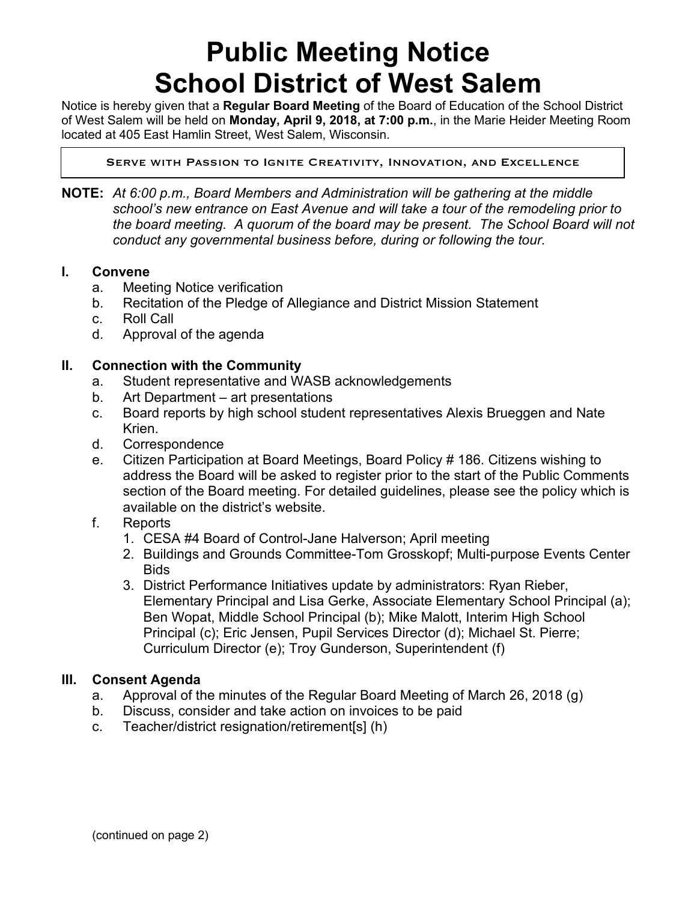# **Public Meeting Notice School District of West Salem**

Notice is hereby given that a **Regular Board Meeting** of the Board of Education of the School District of West Salem will be held on **Monday, April 9, 2018, at 7:00 p.m.**, in the Marie Heider Meeting Room located at 405 East Hamlin Street, West Salem, Wisconsin.

Serve with Passion to Ignite Creativity, Innovation, and Excellence

**NOTE:** *At 6:00 p.m., Board Members and Administration will be gathering at the middle school's new entrance on East Avenue and will take a tour of the remodeling prior to the board meeting. A quorum of the board may be present. The School Board will not conduct any governmental business before, during or following the tour.*

#### **I. Convene**

 $\overline{a}$ 

- a. Meeting Notice verification
- b. Recitation of the Pledge of Allegiance and District Mission Statement
- c. Roll Call
- d. Approval of the agenda

### **II. Connection with the Community**

- a. Student representative and WASB acknowledgements
- b. Art Department art presentations
- c. Board reports by high school student representatives Alexis Brueggen and Nate Krien.
- d. Correspondence
- e. Citizen Participation at Board Meetings, Board Policy # 186. Citizens wishing to address the Board will be asked to register prior to the start of the Public Comments section of the Board meeting. For detailed guidelines, please see the policy which is available on the district's website.
- f. Reports
	- 1. CESA #4 Board of Control-Jane Halverson; April meeting
	- 2. Buildings and Grounds Committee-Tom Grosskopf; Multi-purpose Events Center **Bids**
	- 3. District Performance Initiatives update by administrators: Ryan Rieber, Elementary Principal and Lisa Gerke, Associate Elementary School Principal (a); Ben Wopat, Middle School Principal (b); Mike Malott, Interim High School Principal (c); Eric Jensen, Pupil Services Director (d); Michael St. Pierre; Curriculum Director (e); Troy Gunderson, Superintendent (f)

#### **III. Consent Agenda**

- a. Approval of the minutes of the Regular Board Meeting of March 26, 2018 (g)
- b. Discuss, consider and take action on invoices to be paid
- c. Teacher/district resignation/retirement[s] (h)